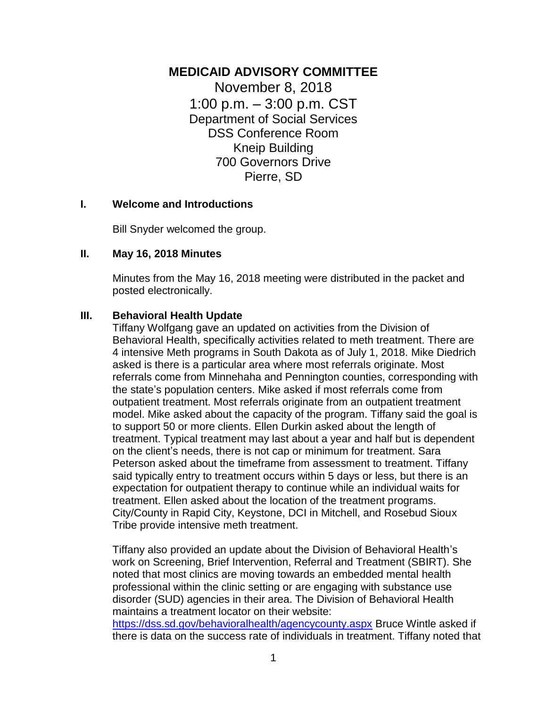# **MEDICAID ADVISORY COMMITTEE**

November 8, 2018 1:00 p.m. – 3:00 p.m. CST Department of Social Services DSS Conference Room Kneip Building 700 Governors Drive Pierre, SD

#### **I. Welcome and Introductions**

Bill Snyder welcomed the group.

#### **II. May 16, 2018 Minutes**

Minutes from the May 16, 2018 meeting were distributed in the packet and posted electronically.

#### **III. Behavioral Health Update**

Tiffany Wolfgang gave an updated on activities from the Division of Behavioral Health, specifically activities related to meth treatment. There are 4 intensive Meth programs in South Dakota as of July 1, 2018. Mike Diedrich asked is there is a particular area where most referrals originate. Most referrals come from Minnehaha and Pennington counties, corresponding with the state's population centers. Mike asked if most referrals come from outpatient treatment. Most referrals originate from an outpatient treatment model. Mike asked about the capacity of the program. Tiffany said the goal is to support 50 or more clients. Ellen Durkin asked about the length of treatment. Typical treatment may last about a year and half but is dependent on the client's needs, there is not cap or minimum for treatment. Sara Peterson asked about the timeframe from assessment to treatment. Tiffany said typically entry to treatment occurs within 5 days or less, but there is an expectation for outpatient therapy to continue while an individual waits for treatment. Ellen asked about the location of the treatment programs. City/County in Rapid City, Keystone, DCI in Mitchell, and Rosebud Sioux Tribe provide intensive meth treatment.

Tiffany also provided an update about the Division of Behavioral Health's work on Screening, Brief Intervention, Referral and Treatment (SBIRT). She noted that most clinics are moving towards an embedded mental health professional within the clinic setting or are engaging with substance use disorder (SUD) agencies in their area. The Division of Behavioral Health maintains a treatment locator on their website:

<https://dss.sd.gov/behavioralhealth/agencycounty.aspx> Bruce Wintle asked if there is data on the success rate of individuals in treatment. Tiffany noted that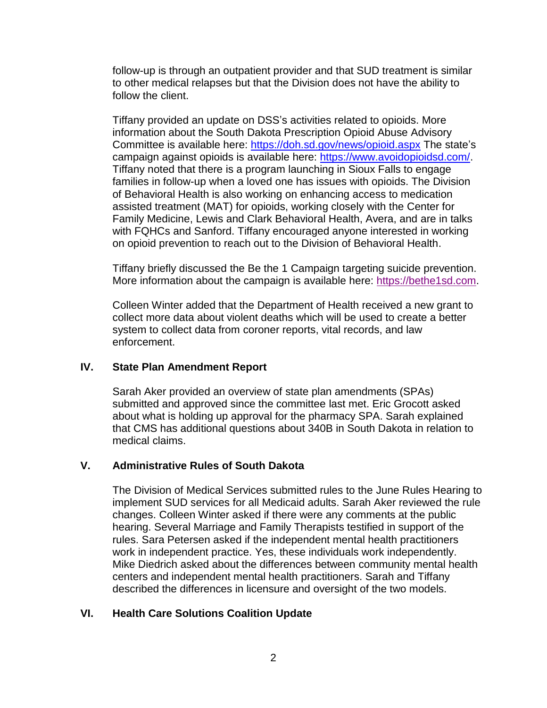follow-up is through an outpatient provider and that SUD treatment is similar to other medical relapses but that the Division does not have the ability to follow the client.

Tiffany provided an update on DSS's activities related to opioids. More information about the South Dakota Prescription Opioid Abuse Advisory Committee is available here:<https://doh.sd.gov/news/opioid.aspx> The state's campaign against opioids is available here: [https://www.avoidopioidsd.com/.](https://www.avoidopioidsd.com/) Tiffany noted that there is a program launching in Sioux Falls to engage families in follow-up when a loved one has issues with opioids. The Division of Behavioral Health is also working on enhancing access to medication assisted treatment (MAT) for opioids, working closely with the Center for Family Medicine, Lewis and Clark Behavioral Health, Avera, and are in talks with FQHCs and Sanford. Tiffany encouraged anyone interested in working on opioid prevention to reach out to the Division of Behavioral Health.

Tiffany briefly discussed the Be the 1 Campaign targeting suicide prevention. More information about the campaign is available here: [https://bethe1sd.com.](https://bethe1sd.com/)

Colleen Winter added that the Department of Health received a new grant to collect more data about violent deaths which will be used to create a better system to collect data from coroner reports, vital records, and law enforcement.

### **IV. State Plan Amendment Report**

Sarah Aker provided an overview of state plan amendments (SPAs) submitted and approved since the committee last met. Eric Grocott asked about what is holding up approval for the pharmacy SPA. Sarah explained that CMS has additional questions about 340B in South Dakota in relation to medical claims.

### **V. Administrative Rules of South Dakota**

The Division of Medical Services submitted rules to the June Rules Hearing to implement SUD services for all Medicaid adults. Sarah Aker reviewed the rule changes. Colleen Winter asked if there were any comments at the public hearing. Several Marriage and Family Therapists testified in support of the rules. Sara Petersen asked if the independent mental health practitioners work in independent practice. Yes, these individuals work independently. Mike Diedrich asked about the differences between community mental health centers and independent mental health practitioners. Sarah and Tiffany described the differences in licensure and oversight of the two models.

### **VI. Health Care Solutions Coalition Update**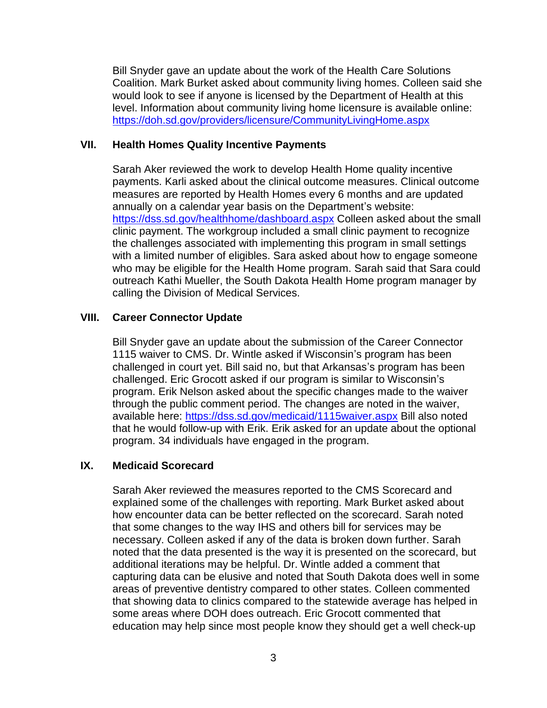Bill Snyder gave an update about the work of the Health Care Solutions Coalition. Mark Burket asked about community living homes. Colleen said she would look to see if anyone is licensed by the Department of Health at this level. Information about community living home licensure is available online: <https://doh.sd.gov/providers/licensure/CommunityLivingHome.aspx>

#### **VII. Health Homes Quality Incentive Payments**

Sarah Aker reviewed the work to develop Health Home quality incentive payments. Karli asked about the clinical outcome measures. Clinical outcome measures are reported by Health Homes every 6 months and are updated annually on a calendar year basis on the Department's website: <https://dss.sd.gov/healthhome/dashboard.aspx> Colleen asked about the small clinic payment. The workgroup included a small clinic payment to recognize the challenges associated with implementing this program in small settings with a limited number of eligibles. Sara asked about how to engage someone who may be eligible for the Health Home program. Sarah said that Sara could outreach Kathi Mueller, the South Dakota Health Home program manager by calling the Division of Medical Services.

### **VIII. Career Connector Update**

Bill Snyder gave an update about the submission of the Career Connector 1115 waiver to CMS. Dr. Wintle asked if Wisconsin's program has been challenged in court yet. Bill said no, but that Arkansas's program has been challenged. Eric Grocott asked if our program is similar to Wisconsin's program. Erik Nelson asked about the specific changes made to the waiver through the public comment period. The changes are noted in the waiver, available here:<https://dss.sd.gov/medicaid/1115waiver.aspx> Bill also noted that he would follow-up with Erik. Erik asked for an update about the optional program. 34 individuals have engaged in the program.

#### **IX. Medicaid Scorecard**

Sarah Aker reviewed the measures reported to the CMS Scorecard and explained some of the challenges with reporting. Mark Burket asked about how encounter data can be better reflected on the scorecard. Sarah noted that some changes to the way IHS and others bill for services may be necessary. Colleen asked if any of the data is broken down further. Sarah noted that the data presented is the way it is presented on the scorecard, but additional iterations may be helpful. Dr. Wintle added a comment that capturing data can be elusive and noted that South Dakota does well in some areas of preventive dentistry compared to other states. Colleen commented that showing data to clinics compared to the statewide average has helped in some areas where DOH does outreach. Eric Grocott commented that education may help since most people know they should get a well check-up